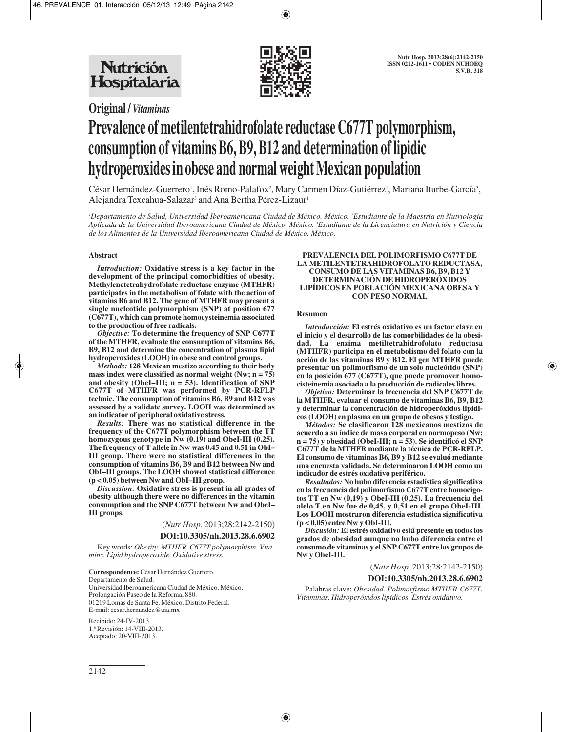



# **Original /** *Vitaminas*

# **Prevalence of metilentetrahidrofolate reductase C677T polymorphism, consumption of vitamins B6, B9, B12 and determination of lipidic hydroperoxides in obese and normal weight Mexican population**

César Hernández-Guerrero', Inés Romo-Palafox<sup>2</sup>, Mary Carmen Díaz-Gutiérrez', Mariana Iturbe-García<sup>3</sup>, Alejandra Texcahua-Salazar<sup>3</sup> and Ana Bertha Pérez-Lizaur<sup>1</sup>

*1 Departamento de Salud, Universidad Iberoamericana Ciudad de México. México. 2 Estudiante de la Maestría en Nutriología Aplicada de la Universidad Iberoamericana Ciudad de México. México. 3 Estudiante de la Licenciatura en Nutrición y Ciencia de los Alimentos de la Universidad Iberoamericana Ciudad de México. México.* 

#### **Abstract**

*Introduction:* **Oxidative stress is a key factor in the development of the principal comorbidities of obesity. Methylenetetrahydrofolate reductase enzyme (MTHFR) participates in the metabolism of folate with the action of vitamins B6 and B12. The gene of MTHFR may present a single nucleotide polymorphism (SNP) at position 677 (C677T), which can promote homocysteinemia associated to the production of free radicals.**

*Objective:* **To determine the frequency of SNP C677T of the MTHFR, evaluate the consumption of vitamins B6, B9, B12 and determine the concentration of plasma lipid hydroperoxides (LOOH) in obese and control groups.**

*Methods:* **128 Mexican mestizo according to their body mass index were classified as normal weight (Nw; n = 75) and obesity (ObeI–III; n = 53). Identification of SNP C677T of MTHFR was performed by PCR-RFLP technic. The consumption of vitamins B6, B9 and B12 was assessed by a validate survey. LOOH was determined as an indicator of peripheral oxidative stress.**

*Results:* **There was no statistical difference in the frequency of the C677T polymorphism between the TT homozygous genotype in Nw (0.19) and ObeI-III (0.25). The frequency of T allele in Nw was 0.45 and 0.51 in ObI– III group. There were no statistical differences in the consumption of vitamins B6, B9 and B12 between Nw and ObI–III groups. The LOOH showed statistical difference (p < 0.05) between Nw and ObI–III group.**

*Discussion:* **Oxidative stress is present in all grades of obesity although there were no differences in the vitamin consumption and the SNP C677T between Nw and ObeI– III groups.**

(*Nutr Hosp.* 2013;28:2142-2150)

#### **DOI:10.3305/nh.2013.28.6.6902**

Key words: *Obesity. MTHFR-C677T polymorphism. Vitamins. Lipid hydroperoxide. Oxidative stress.*

**Correspondence:** César Hernández Guerrero. Departamento de Salud. Universidad Iberoamericana Ciudad de México. México. Prolongación Paseo de la Reforma, 880. 01219 Lomas de Santa Fe. México. Distrito Federal. E-mail: cesar.hernandez@uia.mx

Recibido: 24-IV-2013. 1.ª Revisión: 14-VIII-2013. Aceptado: 20-VIII-2013.

#### **PREVALENCIA DEL POLIMORFISMO C677T DE LA METILENTETRAHIDROFOLATO REDUCTASA, CONSUMO DE LAS VITAMINAS B6, B9, B12 Y DETERMINACIÓN DE HIDROPERÓXIDOS LIPÍDICOS EN POBLACIÓN MEXICANA OBESA Y CON PESO NORMAL**

#### **Resumen**

*Introducción:* **El estrés oxidativo es un factor clave en el inicio y el desarrollo de las comorbilidades de la obesidad. La enzima metiltetrahidrofolato reductasa (MTHFR) participa en el metabolismo del folato con la acción de las vitaminas B9 y B12. El gen MTHFR puede presentar un polimorfismo de un solo nucleótido (SNP) en la posición 677 (C677T), que puede promover homocisteinemia asociada a la producción de radicales libres.**

*Objetivo:* **Determinar la frecuencia del SNP C677T de la MTHFR, evaluar el consumo de vitaminas B6, B9, B12 y determinar la concentración de hidroperóxidos lipídicos (LOOH) en plasma en un grupo de obesos y testigo.**

*Métodos:* **Se clasificaron 128 mexicanos mestizos de acuerdo a su índice de masa corporal en normopeso (Nw; n = 75) y obesidad (ObeI-III; n = 53). Se identificó el SNP C677T de la MTHFR mediante la técnica de PCR-RFLP. El consumo de vitaminas B6, B9 y B12 se evaluó mediante una encuesta validada. Se determinaron LOOH como un indicador de estrés oxidativo periférico.**

*Resultados:* **No hubo diferencia estadística significativa en la frecuencia del polimorfismo C677T entre homocigotos TT en Nw (0,19) y ObeI-III (0,25). La frecuencia del alelo T en Nw fue de 0,45, y 0,51 en el grupo ObeI-III. Los LOOH mostraron diferencia estadística significativa (p < 0,05) entre Nw y ObI-III.**

*Discusión:* **El estrés oxidativo está presente en todos los grados de obesidad aunque no hubo diferencia entre el consumo de vitaminas y el SNP C677T entre los grupos de Nw y ObeI-III.**

(*Nutr Hosp.* 2013;28:2142-2150)

#### **DOI:10.3305/nh.2013.28.6.6902**

Palabras clave: *Obesidad. Polimorfismo MTHFR-C677T. Vitaminas. Hidroperóxidos lipídicos. Estrés oxidativo.*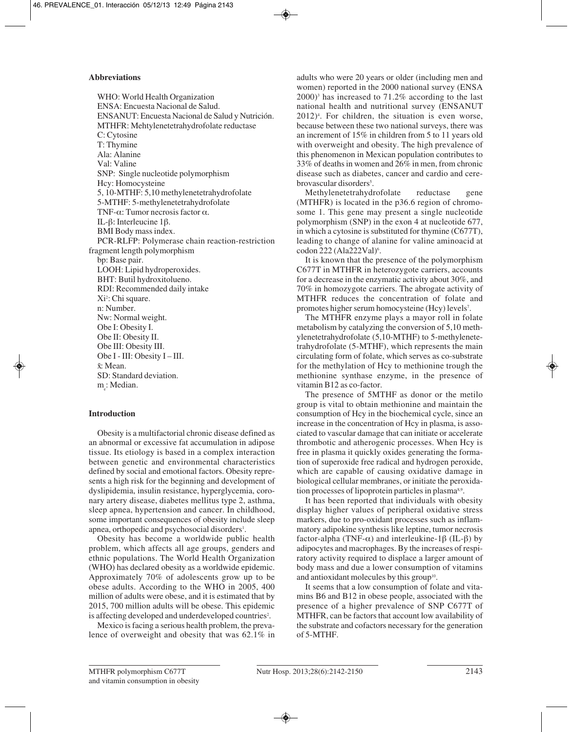# **Abbreviations**

WHO: World Health Organization ENSA: Encuesta Nacional de Salud. ENSANUT: Encuesta Nacional de Salud y Nutrición. MTHFR: Mehtylenetetrahydrofolate reductase C: Cytosine T: Thymine Ala: Alanine Val: Valine SNP: Single nucleotide polymorphism Hcy: Homocysteine 5, 10-MTHF: 5,10 methylenetetrahydrofolate 5-MTHF: 5-methylenetetrahydrofolate TNF-α: Tumor necrosis factor α. IL-β: Interleucine 1β. BMI Body mass index. PCR-RLFP: Polymerase chain reaction-restriction fragment length polymorphism bp: Base pair. LOOH: Lipid hydroperoxides. BHT: Butil hydroxitolueno. RDI: Recommended daily intake Xi<sup>2</sup>: Chi square. n: Number. Nw: Normal weight. Obe I: Obesity I. Obe II: Obesity II. Obe III: Obesity III. Obe I - III: Obesity I – III.  $\bar{x}$ : Mean. SD: Standard deviation. m<sub>e</sub>: Median.

# **Introduction**

Obesity is a multifactorial chronic disease defined as an abnormal or excessive fat accumulation in adipose tissue. Its etiology is based in a complex interaction between genetic and environmental characteristics defined by social and emotional factors. Obesity represents a high risk for the beginning and development of dyslipidemia, insulin resistance, hyperglycemia, coronary artery disease, diabetes mellitus type 2, asthma, sleep apnea, hypertension and cancer. In childhood, some important consequences of obesity include sleep apnea, orthopedic and psychosocial disorders<sup>1</sup>.

Obesity has become a worldwide public health problem, which affects all age groups, genders and ethnic populations. The World Health Organization (WHO) has declared obesity as a worldwide epidemic. Approximately 70% of adolescents grow up to be obese adults. According to the WHO in 2005, 400 million of adults were obese, and it is estimated that by 2015, 700 million adults will be obese. This epidemic is affecting developed and underdeveloped countries<sup>2</sup>.

Mexico is facing a serious health problem, the prevalence of overweight and obesity that was 62.1% in adults who were 20 years or older (including men and women) reported in the 2000 national survey (ENSA  $(2000)^3$  has increased to 71.2% according to the last national health and nutritional survey (ENSANUT 2012)4 . For children, the situation is even worse, because between these two national surveys, there was an increment of 15% in children from 5 to 11 years old with overweight and obesity. The high prevalence of this phenomenon in Mexican population contributes to 33% of deaths in women and 26% in men, from chronic disease such as diabetes, cancer and cardio and cerebrovascular disorders<sup>5</sup>.

Methylenetetrahydrofolate reductase gene (MTHFR) is located in the p36.6 region of chromosome 1. This gene may present a single nucleotide polymorphism (SNP) in the exon 4 at nucleotide 677, in which a cytosine is substituted for thymine (C677T), leading to change of alanine for valine aminoacid at codon 222 (Ala222Val)<sup>6</sup>.

It is known that the presence of the polymorphism C677T in MTHFR in heterozygote carriers, accounts for a decrease in the enzymatic activity about 30%, and 70% in homozygote carriers. The abrogate activity of MTHFR reduces the concentration of folate and promotes higher serum homocysteine (Hcy) levels<sup>7</sup>.

The MTHFR enzyme plays a mayor roll in folate metabolism by catalyzing the conversion of 5,10 methylenetetrahydrofolate (5,10-MTHF) to 5-methylenetetrahydrofolate (5-MTHF), which represents the main circulating form of folate, which serves as co-substrate for the methylation of Hcy to methionine trough the methionine synthase enzyme, in the presence of vitamin B12 as co-factor.

The presence of 5MTHF as donor or the metilo group is vital to obtain methionine and maintain the consumption of Hcy in the biochemical cycle, since an increase in the concentration of Hcy in plasma, is associated to vascular damage that can initiate or accelerate thrombotic and atherogenic processes. When Hcy is free in plasma it quickly oxides generating the formation of superoxide free radical and hydrogen peroxide, which are capable of causing oxidative damage in biological cellular membranes, or initiate the peroxidation processes of lipoprotein particles in plasma<sup>8,9</sup>.

It has been reported that individuals with obesity display higher values of peripheral oxidative stress markers, due to pro-oxidant processes such as inflammatory adipokine synthesis like leptine, tumor necrosis factor-alpha (TNF-α) and interleukine-1β (IL-β) by adipocytes and macrophages. By the increases of respiratory activity required to displace a larger amount of body mass and due a lower consumption of vitamins and antioxidant molecules by this group<sup>10</sup>.

It seems that a low consumption of folate and vitamins B6 and B12 in obese people, associated with the presence of a higher prevalence of SNP C677T of MTHFR, can be factors that account low availability of the substrate and cofactors necessary for the generation of 5-MTHF.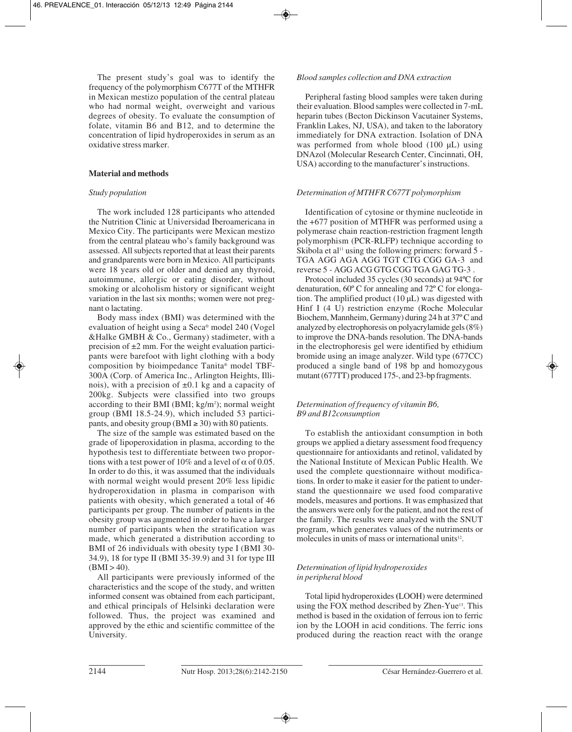The present study's goal was to identify the frequency of the polymorphism C677T of the MTHFR in Mexican mestizo population of the central plateau who had normal weight, overweight and various degrees of obesity. To evaluate the consumption of folate, vitamin B6 and B12, and to determine the concentration of lipid hydroperoxides in serum as an oxidative stress marker.

# **Material and methods**

#### *Study population*

The work included 128 participants who attended the Nutrition Clinic at Universidad Iberoamericana in Mexico City. The participants were Mexican mestizo from the central plateau who's family background was assessed. All subjects reported that at least their parents and grandparents were born in Mexico. All participants were 18 years old or older and denied any thyroid, autoimmune, allergic or eating disorder, without smoking or alcoholism history or significant weight variation in the last six months; women were not pregnant o lactating.

Body mass index (BMI) was determined with the evaluation of height using a Seca® model 240 (Vogel &Halke GMBH & Co., Germany) stadimeter, with a precision of  $\pm 2$  mm. For the weight evaluation participants were barefoot with light clothing with a body composition by bioimpedance Tanita® model TBF-300A (Corp. of America Inc., Arlington Heights, Illinois), with a precision of  $\pm 0.1$  kg and a capacity of 200kg. Subjects were classified into two groups according to their BMI (BMI; kg/m<sup>2</sup>); normal weight group (BMI 18.5-24.9), which included 53 participants, and obesity group (BMI  $\geq$  30) with 80 patients.

The size of the sample was estimated based on the grade of lipoperoxidation in plasma, according to the hypothesis test to differentiate between two proportions with a test power of 10% and a level of  $\alpha$  of 0.05. In order to do this, it was assumed that the individuals with normal weight would present 20% less lipidic hydroperoxidation in plasma in comparison with patients with obesity, which generated a total of 46 participants per group. The number of patients in the obesity group was augmented in order to have a larger number of participants when the stratification was made, which generated a distribution according to BMI of 26 individuals with obesity type I (BMI 30- 34.9), 18 for type II (BMI 35-39.9) and 31 for type III  $(BMI > 40)$ .

All participants were previously informed of the characteristics and the scope of the study, and written informed consent was obtained from each participant, and ethical principals of Helsinki declaration were followed. Thus, the project was examined and approved by the ethic and scientific committee of the University.

#### *Blood samples collection and DNA extraction*

Peripheral fasting blood samples were taken during their evaluation. Blood samples were collected in 7-mL heparin tubes (Becton Dickinson Vacutainer Systems, Franklin Lakes, NJ, USA), and taken to the laboratory immediately for DNA extraction. Isolation of DNA was performed from whole blood (100 µL) using DNAzol (Molecular Research Center, Cincinnati, OH, USA) according to the manufacturer's instructions.

#### *Determination of MTHFR C677T polymorphism*

Identification of cytosine or thymine nucleotide in the +677 position of MTHFR was performed using a polymerase chain reaction-restriction fragment length polymorphism (PCR-RLFP) technique according to Skibola et al<sup>11</sup> using the following primers: forward  $5 -$ TGA AGG AGA AGG TGT CTG CGG GA-3 and reverse 5 - AGG ACG GTG CGG TGA GAG TG-3 .

Protocol included 35 cycles (30 seconds) at 94ºC for denaturation, 60º C for annealing and 72º C for elongation. The amplified product (10 µL) was digested with Hinf I (4 U) restriction enzyme (Roche Molecular Biochem, Mannheim, Germany) during 24 h at 37º C and analyzed by electrophoresis on polyacrylamide gels (8%) to improve the DNA-bands resolution. The DNA-bands in the electrophoresis gel were identified by ethidium bromide using an image analyzer. Wild type (677CC) produced a single band of 198 bp and homozygous mutant (677TT) produced 175-, and 23-bp fragments.

# *Determination of frequency of vitamin B6, B9 and B12consumption*

To establish the antioxidant consumption in both groups we applied a dietary assessment food frequency questionnaire for antioxidants and retinol, validated by the National Institute of Mexican Public Health. We used the complete questionnaire without modifications. In order to make it easier for the patient to understand the questionnaire we used food comparative models, measures and portions. It was emphasized that the answers were only for the patient, and not the rest of the family. The results were analyzed with the SNUT program, which generates values of the nutriments or molecules in units of mass or international units<sup>12</sup>.

# *Determination of lipid hydroperoxides in peripheral blood*

Total lipid hydroperoxides **(**LOOH) were determined using the FOX method described by Zhen-Yue<sup>13</sup>. This method is based in the oxidation of ferrous ion to ferric ion by the LOOH in acid conditions. The ferric ions produced during the reaction react with the orange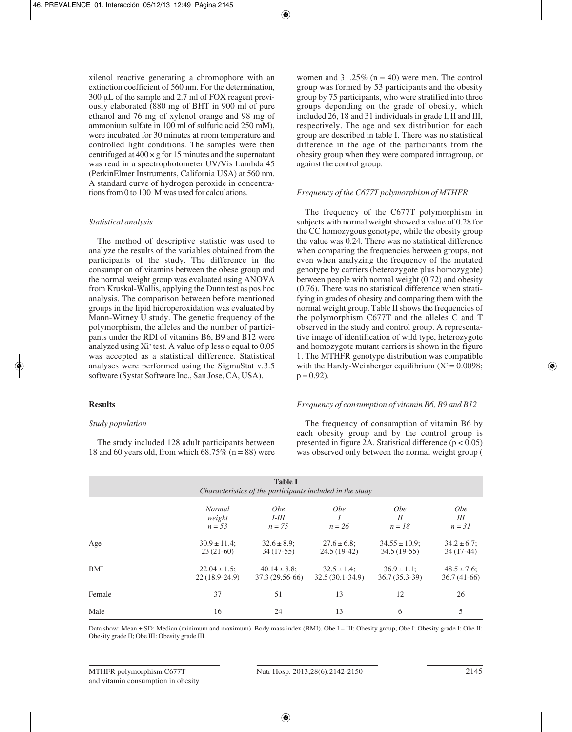xilenol reactive generating a chromophore with an extinction coefficient of 560 nm. For the determination, 300 μL of the sample and 2.7 ml of FOX reagent previously elaborated (880 mg of BHT in 900 ml of pure ethanol and 76 mg of xylenol orange and 98 mg of ammonium sulfate in 100 ml of sulfuric acid 250 mM), were incubated for 30 minutes at room temperature and controlled light conditions. The samples were then centrifuged at  $400 \times g$  for 15 minutes and the supernatant was read in a spectrophotometer UV/Vis Lambda 45 (PerkinElmer Instruments, California USA) at 560 nm. A standard curve of hydrogen peroxide in concentrations from 0 to 100 M was used for calculations.

#### *Statistical analysis*

The method of descriptive statistic was used to analyze the results of the variables obtained from the participants of the study. The difference in the consumption of vitamins between the obese group and the normal weight group was evaluated using ANOVA from Kruskal-Wallis, applying the Dunn test as pos hoc analysis. The comparison between before mentioned groups in the lipid hidroperoxidation was evaluated by Mann-Witney U study. The genetic frequency of the polymorphism, the alleles and the number of participants under the RDI of vitamins B6, B9 and B12 were analyzed using  $Xi^2$  test. A value of p less o equal to 0.05 was accepted as a statistical difference. Statistical analyses were performed using the SigmaStat v.3.5 software (Systat Software Inc., San Jose, CA, USA).

#### **Results**

# *Study population*

The study included 128 adult participants between 18 and 60 years old, from which  $\overline{68.75\%}$  (n = 88) were women and  $31.25\%$  (n = 40) were men. The control group was formed by 53 participants and the obesity group by 75 participants, who were stratified into three groups depending on the grade of obesity, which included 26, 18 and 31 individuals in grade I, II and III, respectively. The age and sex distribution for each group are described in table I. There was no statistical difference in the age of the participants from the obesity group when they were compared intragroup, or against the control group.

#### *Frequency of the C677T polymorphism of MTHFR*

The frequency of the C677T polymorphism in subjects with normal weight showed a value of 0.28 for the CC homozygous genotype, while the obesity group the value was 0.24. There was no statistical difference when comparing the frequencies between groups, not even when analyzing the frequency of the mutated genotype by carriers (heterozygote plus homozygote) between people with normal weight (0.72) and obesity (0.76). There was no statistical difference when stratifying in grades of obesity and comparing them with the normal weight group. Table II shows the frequencies of the polymorphism C677T and the alleles C and T observed in the study and control group. A representative image of identification of wild type, heterozygote and homozygote mutant carriers is shown in the figure 1. The MTHFR genotype distribution was compatible with the Hardy-Weinberger equilibrium  $(X^2 = 0.0098)$ ;  $p = 0.92$ ).

#### *Frequency of consumption of vitamin B6, B9 and B12*

The frequency of consumption of vitamin B6 by each obesity group and by the control group is presented in figure 2A. Statistical difference  $(p < 0.05)$ was observed only between the normal weight group (

| <b>Table I</b><br>Characteristics of the participants included in the study |                                      |                                      |                                       |                                     |                                   |  |  |
|-----------------------------------------------------------------------------|--------------------------------------|--------------------------------------|---------------------------------------|-------------------------------------|-----------------------------------|--|--|
|                                                                             | <b>Normal</b><br>weight<br>$n = 53$  | <i>Obe</i><br>$I-III$<br>$n = 75$    | <i>Obe</i><br>$n = 26$                | <i>Obe</i><br>II<br>$n = 18$        | <i>Obe</i><br>Ш<br>$n = 31$       |  |  |
| Age                                                                         | $30.9 \pm 11.4$ ;<br>$23(21-60)$     | $32.6 \pm 8.9$ ;<br>$34(17-55)$      | $27.6 \pm 6.8$ ;<br>$24.5(19-42)$     | $34.55 \pm 10.9$ ;<br>$34.5(19-55)$ | $34.2 \pm 6.7$ ;<br>$34(17-44)$   |  |  |
| BMI                                                                         | $22.04 \pm 1.5$ ;<br>$22(18.9-24.9)$ | $40.14 \pm 8.8$ ;<br>37.3 (29.56-66) | $32.5 \pm 1.4$ ;<br>$32.5(30.1-34.9)$ | $36.9 \pm 1.1$ ;<br>$36.7(35.3-39)$ | $48.5 \pm 7.6$ ;<br>$36.7(41-66)$ |  |  |
| Female                                                                      | 37                                   | 51                                   | 13                                    | 12                                  | 26                                |  |  |
| Male                                                                        | 16                                   | 24                                   | 13                                    | 6                                   | 5                                 |  |  |

Data show: Mean ± SD; Median (minimum and maximum). Body mass index (BMI). Obe I – III: Obesity group; Obe I: Obesity grade I; Obe II: Obesity grade II; Obe III: Obesity grade III.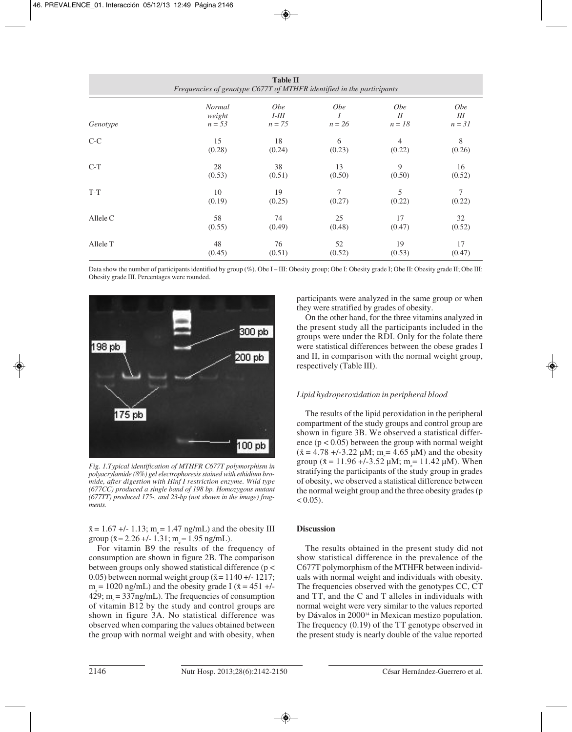| <b>Table II</b><br>Frequencies of genotype C677T of MTHFR identified in the participants |                                     |                                   |                        |                             |                             |  |  |
|------------------------------------------------------------------------------------------|-------------------------------------|-----------------------------------|------------------------|-----------------------------|-----------------------------|--|--|
| Genotype                                                                                 | <b>Normal</b><br>weight<br>$n = 53$ | <i>Obe</i><br>$I-III$<br>$n = 75$ | <i>Obe</i><br>$n = 26$ | <i>Obe</i><br>I<br>$n = 18$ | <i>Obe</i><br>Ш<br>$n = 31$ |  |  |
| $C-C$                                                                                    | 15                                  | 18                                | 6                      | 4                           | 8                           |  |  |
|                                                                                          | (0.28)                              | (0.24)                            | (0.23)                 | (0.22)                      | (0.26)                      |  |  |
| $C-T$                                                                                    | 28                                  | 38                                | 13                     | 9                           | 16                          |  |  |
|                                                                                          | (0.53)                              | (0.51)                            | (0.50)                 | (0.50)                      | (0.52)                      |  |  |
| $T-T$                                                                                    | 10                                  | 19                                | 7                      | 5                           | 7                           |  |  |
|                                                                                          | (0.19)                              | (0.25)                            | (0.27)                 | (0.22)                      | (0.22)                      |  |  |
| Allele C                                                                                 | 58                                  | 74                                | 25                     | 17                          | 32                          |  |  |
|                                                                                          | (0.55)                              | (0.49)                            | (0.48)                 | (0.47)                      | (0.52)                      |  |  |
| Allele T                                                                                 | 48                                  | 76                                | 52                     | 19                          | 17                          |  |  |
|                                                                                          | (0.45)                              | (0.51)                            | (0.52)                 | (0.53)                      | (0.47)                      |  |  |

Data show the number of participants identified by group (%). Obe I – III: Obesity group; Obe I: Obesity grade I; Obe II: Obesity grade II; Obe III: Obesity grade III. Percentages were rounded.



*Fig. 1.Typical identification of MTHFR C677T polymorphism in polyacrylamide (8%) gel electrophoresis stained with ethidium bromide, after digestion with Hinf I restriction enzyme. Wild type (677CC) produced a single band of 198 bp. Homozygous mutant (677TT) produced 175-, and 23-bp (not shown in the image) fragments.*

 $\bar{x} = 1.67 + (-1.13; m_e = 1.47 \text{ ng/mL})$  and the obesity III group  $(\bar{x} = 2.26 + (-1.31)$ ; m = 1.95 ng/mL).

For vitamin B9 the results of the frequency of consumption are shown in figure 2B. The comparison between groups only showed statistical difference (p < 0.05) between normal weight group  $(\bar{x}=1140 +1.1217)$ ;  $m_s = 1020$  ng/mL) and the obesity grade I ( $\bar{x} = 451 +$ /-429;  $m_s = 337$ ng/mL). The frequencies of consumption of vitamin B12 by the study and control groups are shown in figure 3A. No statistical difference was observed when comparing the values obtained between the group with normal weight and with obesity, when

participants were analyzed in the same group or when they were stratified by grades of obesity.

On the other hand, for the three vitamins analyzed in the present study all the participants included in the groups were under the RDI. Only for the folate there were statistical differences between the obese grades I and II, in comparison with the normal weight group, respectively (Table III).

# *Lipid hydroperoxidation in peripheral blood*

The results of the lipid peroxidation in the peripheral compartment of the study groups and control group are shown in figure 3B. We observed a statistical difference  $(p < 0.05)$  between the group with normal weight  $(\bar{x} = 4.78 + (-3.22 \mu M); m_e = 4.65 \mu M)$  and the obesity group ( $\bar{x} = 11.96 + -3.52 \mu M$ ; m<sub>e</sub> = 11.42  $\mu$ M). When stratifying the participants of the study group in grades of obesity, we observed a statistical difference between the normal weight group and the three obesity grades (p  $< 0.05$ ).

# **Discussion**

The results obtained in the present study did not show statistical difference in the prevalence of the C677T polymorphism of the MTHFR between individuals with normal weight and individuals with obesity. The frequencies observed with the genotypes CC, CT and TT, and the C and T alleles in individuals with normal weight were very similar to the values reported by Dávalos in 2000<sup>14</sup> in Mexican mestizo population. The frequency (0.19) of the TT genotype observed in the present study is nearly double of the value reported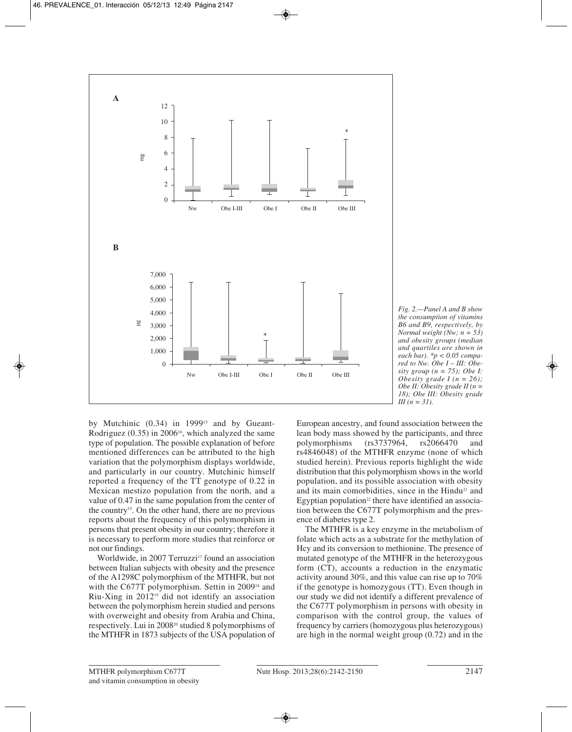

*Fig. 2.—Panel A and B show the consumption of vitamins B6 and B9, respectively, by Normal weight (Nw; n = 53) and obesity groups (median and quartiles are shown in each bar). \*p < 0.05 compared to Nw. Obe I – III: Obesity group (n = 75); Obe I: Obesity grade I (n = 26); Obe II: Obesity grade II (n = 18); Obe III: Obesity grade III (n = 31).*

by Mutchinic (0.34) in 1999<sup>15</sup> and by Gueant-Rodriguez  $(0.35)$  in 2006<sup>16</sup>, which analyzed the same type of population. The possible explanation of before mentioned differences can be attributed to the high variation that the polymorphism displays worldwide, and particularly in our country. Mutchinic himself reported a frequency of the TT genotype of 0.22 in Mexican mestizo population from the north, and a value of 0.47 in the same population from the center of the country15. On the other hand, there are no previous reports about the frequency of this polymorphism in persons that present obesity in our country; therefore it is necessary to perform more studies that reinforce or not our findings.

Worldwide, in 2007 Terruzzi<sup>17</sup> found an association between Italian subjects with obesity and the presence of the A1298C polymorphism of the MTHFR, but not with the C677T polymorphism. Settin in 2009<sup>18</sup> and Riu-Xing in 201219 did not identify an association between the polymorphism herein studied and persons with overweight and obesity from Arabia and China, respectively. Lui in 200820 studied 8 polymorphisms of the MTHFR in 1873 subjects of the USA population of

European ancestry, and found association between the lean body mass showed by the participants, and three<br>polymorphisms (rs3737964, rs2066470 and polymorphisms (rs3737964, rs2066470 and rs4846048) of the MTHFR enzyme (none of which studied herein). Previous reports highlight the wide distribution that this polymorphism shows in the world population, and its possible association with obesity and its main comorbidities, since in the Hindu<sup>21</sup> and Egyptian population<sup>22</sup> there have identified an association between the C677T polymorphism and the presence of diabetes type 2.

The MTHFR is a key enzyme in the metabolism of folate which acts as a substrate for the methylation of Hcy and its conversion to methionine. The presence of mutated genotype of the MTHFR in the heterozygous form (CT), accounts a reduction in the enzymatic activity around 30%, and this value can rise up to 70% if the genotype is homozygous (TT). Even though in our study we did not identify a different prevalence of the C677T polymorphism in persons with obesity in comparison with the control group, the values of frequency by carriers (homozygous plus heterozygous) are high in the normal weight group (0.72) and in the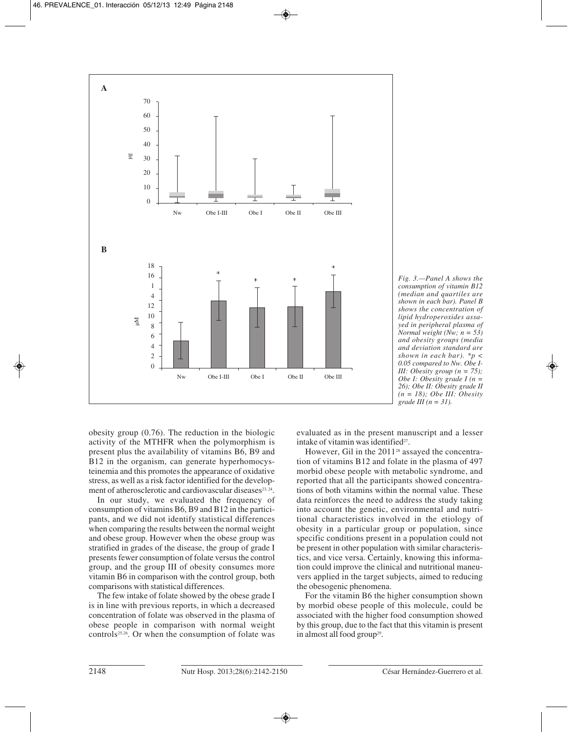

*Fig. 3.—Panel A shows the consumption of vitamin B12 (median and quartiles are shown in each bar). Panel B shows the concentration of lipid hydroperoxides assayed in peripheral plasma of Normal weight (Nw; n = 53) and obesity groups (media and deviation standard are shown in each bar). \*p < 0.05 compared to Nw. Obe I-III: Obesity group (n = 75); Obe I: Obesity grade I (n = 26); Obe II: Obesity grade II (n = 18); Obe III: Obesity grade III (n = 31).*

obesity group (0.76). The reduction in the biologic activity of the MTHFR when the polymorphism is present plus the availability of vitamins B6, B9 and B12 in the organism, can generate hyperhomocysteinemia and this promotes the appearance of oxidative stress, as well as a risk factor identified for the development of atherosclerotic and cardiovascular diseases<sup>23, 24</sup>.

In our study, we evaluated the frequency of consumption of vitamins B6, B9 and B12 in the participants, and we did not identify statistical differences when comparing the results between the normal weight and obese group. However when the obese group was stratified in grades of the disease, the group of grade I presents fewer consumption of folate versus the control group, and the group III of obesity consumes more vitamin B6 in comparison with the control group, both comparisons with statistical differences.

The few intake of folate showed by the obese grade I is in line with previous reports, in which a decreased concentration of folate was observed in the plasma of obese people in comparison with normal weight controls25,26. Or when the consumption of folate was

evaluated as in the present manuscript and a lesser intake of vitamin was identified<sup>27</sup>.

However, Gil in the 2011<sup>28</sup> assayed the concentration of vitamins B12 and folate in the plasma of 497 morbid obese people with metabolic syndrome, and reported that all the participants showed concentrations of both vitamins within the normal value. These data reinforces the need to address the study taking into account the genetic, environmental and nutritional characteristics involved in the etiology of obesity in a particular group or population, since specific conditions present in a population could not be present in other population with similar characteristics, and vice versa. Certainly, knowing this information could improve the clinical and nutritional maneuvers applied in the target subjects, aimed to reducing the obesogenic phenomena.

For the vitamin B6 the higher consumption shown by morbid obese people of this molecule, could be associated with the higher food consumption showed by this group, due to the fact that this vitamin is present in almost all food group<sup>29</sup>.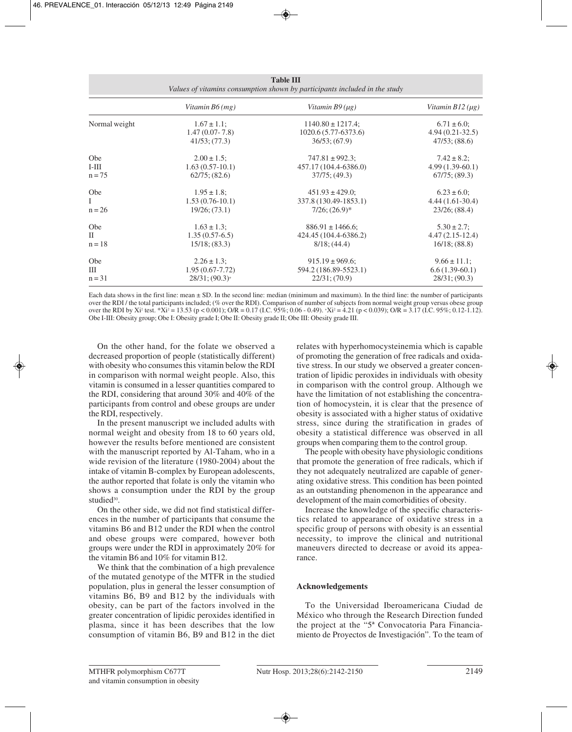| таріе пі<br>Values of vitamins consumption shown by participants included in the study |                                 |                        |                      |  |  |  |
|----------------------------------------------------------------------------------------|---------------------------------|------------------------|----------------------|--|--|--|
|                                                                                        | Vitamin $B6$ (mg)               | Vitamin $B9(\mu g)$    | Vitamin $B12(\mu g)$ |  |  |  |
| Normal weight                                                                          | $1.67 \pm 1.1$ ;                | $1140.80 \pm 1217.4$ ; | $6.71 \pm 6.0$ ;     |  |  |  |
|                                                                                        | $1.47(0.07 - 7.8)$              | 1020.6 (5.77-6373.6)   | $4.94(0.21-32.5)$    |  |  |  |
|                                                                                        | $41/53$ ; (77.3)                | $36/53$ ; $(67.9)$     | $47/53$ ; $(88.6)$   |  |  |  |
| Obe                                                                                    | $2.00 \pm 1.5$ ;                | $747.81 \pm 992.3$ ;   | $7.42 \pm 8.2$ ;     |  |  |  |
| $I-III$                                                                                | $1.63(0.57-10.1)$               | 457.17 (104.4-6386.0)  | $4.99(1.39-60.1)$    |  |  |  |
| $n = 75$                                                                               | $62/75$ ; $(82.6)$              | $37/75$ ; (49.3)       | $67/75$ ; $(89.3)$   |  |  |  |
| Obe                                                                                    | $1.95 \pm 1.8$ ;                | $451.93 \pm 429.0$ ;   | $6.23 \pm 6.0$ ;     |  |  |  |
| Ι                                                                                      | $1.53(0.76-10.1)$               | 337.8 (130.49-1853.1)  | $4.44(1.61-30.4)$    |  |  |  |
| $n = 26$                                                                               | $19/26$ ; (73.1)                | $7/26$ ; $(26.9)*$     | $23/26$ ; (88.4)     |  |  |  |
| Obe                                                                                    | $1.63 \pm 1.3$ ;                | $886.91 \pm 1466.6$ ;  | $5.30 \pm 2.7$ ;     |  |  |  |
| H                                                                                      | $1.35(0.57-6.5)$                | 424.45 (104.4-6386.2)  | $4.47(2.15-12.4)$    |  |  |  |
| $n = 18$                                                                               | $15/18$ ; $(83.3)$              | $8/18$ ; (44.4)        | $16/18$ ; (88.8)     |  |  |  |
| Obe                                                                                    | $2.26 \pm 1.3$ ;                | $915.19 \pm 969.6$ ;   | $9.66 \pm 11.1$ ;    |  |  |  |
| Ш                                                                                      | $1.95(0.67 - 7.72)$             | 594.2 (186.89-5523.1)  | $6.6(1.39-60.1)$     |  |  |  |
| $n = 31$                                                                               | $28/31$ ; $(90.3)$ <sup>+</sup> | $22/31$ ; (70.9)       | $28/31$ ; (90.3)     |  |  |  |

**Table II** 

Each data shows in the first line: mean  $\pm$  SD. In the second line: median (minimum and maximum). In the third line: the number of participants over the RDI / the total participants included; (% over the RDI). Comparison of number of subjects from normal weight group versus obese group over the RDI by Xi<sup>2</sup> test. \*Xi<sup>2</sup> = 13.53 (p < 0.001); O/R = 0.17 (I.C. 95%; 0.06 - 0.49). \*Xi<sup>2</sup> = 4.21 (p < 0.039); O/R = 3.17 (I.C. 95%; 0.12-1.12). Obe I-III: Obesity group; Obe I: Obesity grade I; Obe II: Obesity grade II; Obe III: Obesity grade III.

On the other hand, for the folate we observed a decreased proportion of people (statistically different) with obesity who consumes this vitamin below the RDI in comparison with normal weight people. Also, this vitamin is consumed in a lesser quantities compared to the RDI, considering that around 30% and 40% of the participants from control and obese groups are under the RDI, respectively.

In the present manuscript we included adults with normal weight and obesity from 18 to 60 years old, however the results before mentioned are consistent with the manuscript reported by Al-Taham, who in a wide revision of the literature (1980-2004) about the intake of vitamin B-complex by European adolescents, the author reported that folate is only the vitamin who shows a consumption under the RDI by the group studied<sup>30</sup>.

On the other side, we did not find statistical differences in the number of participants that consume the vitamins B6 and B12 under the RDI when the control and obese groups were compared, however both groups were under the RDI in approximately 20% for the vitamin B6 and 10% for vitamin B12.

We think that the combination of a high prevalence of the mutated genotype of the MTFR in the studied population, plus in general the lesser consumption of vitamins B6, B9 and B12 by the individuals with obesity, can be part of the factors involved in the greater concentration of lipidic peroxides identified in plasma, since it has been describes that the low consumption of vitamin B6, B9 and B12 in the diet relates with hyperhomocysteinemia which is capable of promoting the generation of free radicals and oxidative stress. In our study we observed a greater concentration of lipidic peroxides in individuals with obesity in comparison with the control group. Although we have the limitation of not establishing the concentration of homocystein, it is clear that the presence of obesity is associated with a higher status of oxidative stress, since during the stratification in grades of obesity a statistical difference was observed in all groups when comparing them to the control group.

The people with obesity have physiologic conditions that promote the generation of free radicals, which if they not adequately neutralized are capable of generating oxidative stress. This condition has been pointed as an outstanding phenomenon in the appearance and development of the main comorbidities of obesity.

Increase the knowledge of the specific characteristics related to appearance of oxidative stress in a specific group of persons with obesity is an essential necessity, to improve the clinical and nutritional maneuvers directed to decrease or avoid its appearance.

# **Acknowledgements**

To the Universidad Iberoamericana Ciudad de México who through the Research Direction funded the project at the "5ª Convocatoria Para Financiamiento de Proyectos de Investigación". To the team of